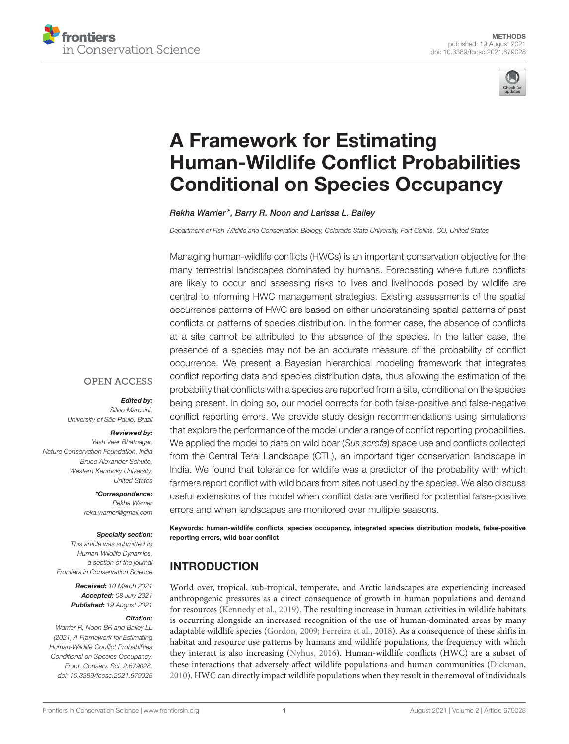



# A Framework for Estimating [Human-Wildlife Conflict Probabilities](https://www.frontiersin.org/articles/10.3389/fcosc.2021.679028/full) Conditional on Species Occupancy

Rekha Warrier\*, Barry R. Noon and Larissa L. Bailey

Department of Fish Wildlife and Conservation Biology, Colorado State University, Fort Collins, CO, United States

Managing human-wildlife conflicts (HWCs) is an important conservation objective for the many terrestrial landscapes dominated by humans. Forecasting where future conflicts are likely to occur and assessing risks to lives and livelihoods posed by wildlife are central to informing HWC management strategies. Existing assessments of the spatial occurrence patterns of HWC are based on either understanding spatial patterns of past conflicts or patterns of species distribution. In the former case, the absence of conflicts at a site cannot be attributed to the absence of the species. In the latter case, the presence of a species may not be an accurate measure of the probability of conflict occurrence. We present a Bayesian hierarchical modeling framework that integrates conflict reporting data and species distribution data, thus allowing the estimation of the probability that conflicts with a species are reported from a site, conditional on the species being present. In doing so, our model corrects for both false-positive and false-negative conflict reporting errors. We provide study design recommendations using simulations that explore the performance of the model under a range of conflict reporting probabilities. We applied the model to data on wild boar (Sus scrofa) space use and conflicts collected from the Central Terai Landscape (CTL), an important tiger conservation landscape in India. We found that tolerance for wildlife was a predictor of the probability with which farmers report conflict with wild boars from sites not used by the species. We also discuss useful extensions of the model when conflict data are verified for potential false-positive errors and when landscapes are monitored over multiple seasons.

Keywords: human-wildlife conflicts, species occupancy, integrated species distribution models, false-positive reporting errors, wild boar conflict

# INTRODUCTION

World over, tropical, sub-tropical, temperate, and Arctic landscapes are experiencing increased anthropogenic pressures as a direct consequence of growth in human populations and demand for resources [\(Kennedy et al., 2019\)](#page-8-0). The resulting increase in human activities in wildlife habitats is occurring alongside an increased recognition of the use of human-dominated areas by many adaptable wildlife species [\(Gordon, 2009;](#page-8-1) [Ferreira et al., 2018\)](#page-8-2). As a consequence of these shifts in habitat and resource use patterns by humans and wildlife populations, the frequency with which they interact is also increasing [\(Nyhus, 2016\)](#page-8-3). Human-wildlife conflicts (HWC) are a subset of these interactions that adversely affect wildlife populations and human communities [\(Dickman,](#page-8-4) [2010\)](#page-8-4). HWC can directly impact wildlife populations when they result in the removal of individuals

## **OPEN ACCESS**

# Edited by:

Silvio Marchini, University of São Paulo, Brazil

#### Reviewed by:

Yash Veer Bhatnagar, Nature Conservation Foundation, India Bruce Alexander Schulte, Western Kentucky University, United States

> \*Correspondence: Rekha Warrier [reka.warrier@gmail.com](mailto:reka.warrier@gmail.com)

#### Specialty section:

This article was submitted to Human-Wildlife Dynamics, a section of the journal Frontiers in Conservation Science

> Received: 10 March 2021 Accepted: 08 July 2021 Published: 19 August 2021

#### Citation:

Warrier R, Noon BR and Bailey LL (2021) A Framework for Estimating Human-Wildlife Conflict Probabilities Conditional on Species Occupancy. Front. Conserv. Sci. 2:679028. doi: [10.3389/fcosc.2021.679028](https://doi.org/10.3389/fcosc.2021.679028)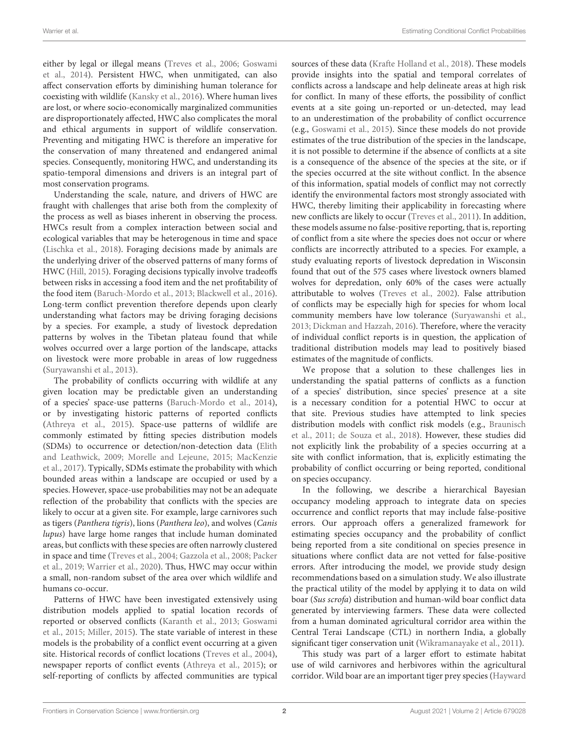either by legal or illegal means [\(Treves et al., 2006;](#page-8-5) Goswami et al., [2014\)](#page-8-6). Persistent HWC, when unmitigated, can also affect conservation efforts by diminishing human tolerance for coexisting with wildlife [\(Kansky et al., 2016\)](#page-8-7). Where human lives are lost, or where socio-economically marginalized communities are disproportionately affected, HWC also complicates the moral and ethical arguments in support of wildlife conservation. Preventing and mitigating HWC is therefore an imperative for the conservation of many threatened and endangered animal species. Consequently, monitoring HWC, and understanding its spatio-temporal dimensions and drivers is an integral part of most conservation programs.

Understanding the scale, nature, and drivers of HWC are fraught with challenges that arise both from the complexity of the process as well as biases inherent in observing the process. HWCs result from a complex interaction between social and ecological variables that may be heterogenous in time and space [\(Lischka et al., 2018\)](#page-8-8). Foraging decisions made by animals are the underlying driver of the observed patterns of many forms of HWC [\(Hill, 2015\)](#page-8-9). Foraging decisions typically involve tradeoffs between risks in accessing a food item and the net profitability of the food item [\(Baruch-Mordo et al., 2013;](#page-7-0) [Blackwell et al., 2016\)](#page-7-1). Long-term conflict prevention therefore depends upon clearly understanding what factors may be driving foraging decisions by a species. For example, a study of livestock depredation patterns by wolves in the Tibetan plateau found that while wolves occurred over a large portion of the landscape, attacks on livestock were more probable in areas of low ruggedness [\(Suryawanshi et al., 2013\)](#page-8-10).

The probability of conflicts occurring with wildlife at any given location may be predictable given an understanding of a species' space-use patterns [\(Baruch-Mordo et al., 2014\)](#page-7-2), or by investigating historic patterns of reported conflicts [\(Athreya et al., 2015\)](#page-7-3). Space-use patterns of wildlife are commonly estimated by fitting species distribution models (SDMs) to occurrence or detection/non-detection data (Elith and Leathwick, [2009;](#page-8-11) [Morelle and Lejeune, 2015;](#page-8-12) MacKenzie et al., [2017\)](#page-8-13). Typically, SDMs estimate the probability with which bounded areas within a landscape are occupied or used by a species. However, space-use probabilities may not be an adequate reflection of the probability that conflicts with the species are likely to occur at a given site. For example, large carnivores such as tigers (Panthera tigris), lions (Panthera leo), and wolves (Canis lupus) have large home ranges that include human dominated areas, but conflicts with these species are often narrowly clustered in space and time [\(Treves et al., 2004;](#page-8-14) [Gazzola et al., 2008;](#page-8-15) Packer et al., [2019;](#page-8-16) [Warrier et al., 2020\)](#page-9-0). Thus, HWC may occur within a small, non-random subset of the area over which wildlife and humans co-occur.

Patterns of HWC have been investigated extensively using distribution models applied to spatial location records of reported or observed conflicts [\(Karanth et al., 2013;](#page-8-17) Goswami et al., [2015;](#page-8-18) [Miller, 2015\)](#page-8-19). The state variable of interest in these models is the probability of a conflict event occurring at a given site. Historical records of conflict locations [\(Treves et al., 2004\)](#page-8-14), newspaper reports of conflict events [\(Athreya et al., 2015\)](#page-7-3); or self-reporting of conflicts by affected communities are typical sources of these data [\(Krafte Holland et al., 2018\)](#page-8-20). These models provide insights into the spatial and temporal correlates of conflicts across a landscape and help delineate areas at high risk for conflict. In many of these efforts, the possibility of conflict events at a site going un-reported or un-detected, may lead to an underestimation of the probability of conflict occurrence (e.g., [Goswami et al., 2015\)](#page-8-18). Since these models do not provide estimates of the true distribution of the species in the landscape, it is not possible to determine if the absence of conflicts at a site is a consequence of the absence of the species at the site, or if the species occurred at the site without conflict. In the absence of this information, spatial models of conflict may not correctly identify the environmental factors most strongly associated with HWC, thereby limiting their applicability in forecasting where new conflicts are likely to occur [\(Treves et al., 2011\)](#page-8-21). In addition, these models assume no false-positive reporting, that is, reporting of conflict from a site where the species does not occur or where conflicts are incorrectly attributed to a species. For example, a study evaluating reports of livestock depredation in Wisconsin found that out of the 575 cases where livestock owners blamed wolves for depredation, only 60% of the cases were actually attributable to wolves [\(Treves et al., 2002\)](#page-8-22). False attribution of conflicts may be especially high for species for whom local community members have low tolerance [\(Suryawanshi et al.,](#page-8-10) [2013;](#page-8-10) [Dickman and Hazzah, 2016\)](#page-8-23). Therefore, where the veracity of individual conflict reports is in question, the application of traditional distribution models may lead to positively biased estimates of the magnitude of conflicts.

We propose that a solution to these challenges lies in understanding the spatial patterns of conflicts as a function of a species' distribution, since species' presence at a site is a necessary condition for a potential HWC to occur at that site. Previous studies have attempted to link species distribution models with conflict risk models (e.g., Braunisch et al., [2011;](#page-7-4) [de Souza et al., 2018\)](#page-7-5). However, these studies did not explicitly link the probability of a species occurring at a site with conflict information, that is, explicitly estimating the probability of conflict occurring or being reported, conditional on species occupancy.

In the following, we describe a hierarchical Bayesian occupancy modeling approach to integrate data on species occurrence and conflict reports that may include false-positive errors. Our approach offers a generalized framework for estimating species occupancy and the probability of conflict being reported from a site conditional on species presence in situations where conflict data are not vetted for false-positive errors. After introducing the model, we provide study design recommendations based on a simulation study. We also illustrate the practical utility of the model by applying it to data on wild boar (Sus scrofa) distribution and human-wild boar conflict data generated by interviewing farmers. These data were collected from a human dominated agricultural corridor area within the Central Terai Landscape (CTL) in northern India, a globally significant tiger conservation unit [\(Wikramanayake et al., 2011\)](#page-9-1).

This study was part of a larger effort to estimate habitat use of wild carnivores and herbivores within the agricultural corridor. Wild boar are an important tiger prey species (Hayward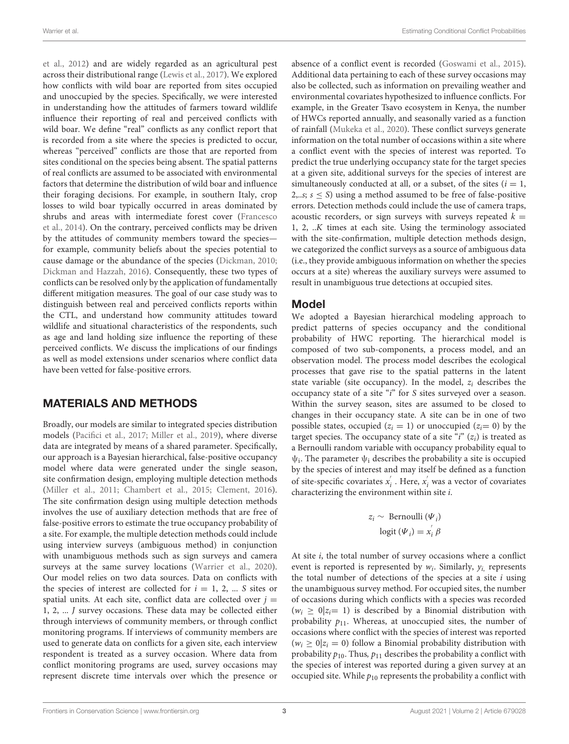et al., [2012\)](#page-8-24) and are widely regarded as an agricultural pest across their distributional range [\(Lewis et al., 2017\)](#page-8-25). We explored how conflicts with wild boar are reported from sites occupied and unoccupied by the species. Specifically, we were interested in understanding how the attitudes of farmers toward wildlife influence their reporting of real and perceived conflicts with wild boar. We define "real" conflicts as any conflict report that is recorded from a site where the species is predicted to occur, whereas "perceived" conflicts are those that are reported from sites conditional on the species being absent. The spatial patterns of real conflicts are assumed to be associated with environmental factors that determine the distribution of wild boar and influence their foraging decisions. For example, in southern Italy, crop losses to wild boar typically occurred in areas dominated by shrubs and areas with intermediate forest cover (Francesco et al., [2014\)](#page-8-26). On the contrary, perceived conflicts may be driven by the attitudes of community members toward the species for example, community beliefs about the species potential to cause damage or the abundance of the species [\(Dickman, 2010;](#page-8-4) [Dickman and Hazzah, 2016\)](#page-8-23). Consequently, these two types of conflicts can be resolved only by the application of fundamentally different mitigation measures. The goal of our case study was to distinguish between real and perceived conflicts reports within the CTL, and understand how community attitudes toward wildlife and situational characteristics of the respondents, such as age and land holding size influence the reporting of these perceived conflicts. We discuss the implications of our findings as well as model extensions under scenarios where conflict data have been vetted for false-positive errors.

## MATERIALS AND METHODS

Broadly, our models are similar to integrated species distribution models [\(Pacifici et al., 2017;](#page-8-27) [Miller et al., 2019\)](#page-8-28), where diverse data are integrated by means of a shared parameter. Specifically, our approach is a Bayesian hierarchical, false-positive occupancy model where data were generated under the single season, site confirmation design, employing multiple detection methods [\(Miller et al., 2011;](#page-8-29) [Chambert et al., 2015;](#page-7-6) [Clement, 2016\)](#page-7-7). The site confirmation design using multiple detection methods involves the use of auxiliary detection methods that are free of false-positive errors to estimate the true occupancy probability of a site. For example, the multiple detection methods could include using interview surveys (ambiguous method) in conjunction with unambiguous methods such as sign surveys and camera surveys at the same survey locations [\(Warrier et al., 2020\)](#page-9-0). Our model relies on two data sources. Data on conflicts with the species of interest are collected for  $i = 1, 2, ...$  S sites or spatial units. At each site, conflict data are collected over  $j =$ 1, 2, ... J survey occasions. These data may be collected either through interviews of community members, or through conflict monitoring programs. If interviews of community members are used to generate data on conflicts for a given site, each interview respondent is treated as a survey occasion. Where data from conflict monitoring programs are used, survey occasions may represent discrete time intervals over which the presence or absence of a conflict event is recorded [\(Goswami et al., 2015\)](#page-8-18). Additional data pertaining to each of these survey occasions may also be collected, such as information on prevailing weather and environmental covariates hypothesized to influence conflicts. For example, in the Greater Tsavo ecosystem in Kenya, the number of HWCs reported annually, and seasonally varied as a function of rainfall [\(Mukeka et al., 2020\)](#page-8-30). These conflict surveys generate information on the total number of occasions within a site where a conflict event with the species of interest was reported. To predict the true underlying occupancy state for the target species at a given site, additional surveys for the species of interest are simultaneously conducted at all, or a subset, of the sites  $(i = 1,$ 2,..s;  $s \leq S$ ) using a method assumed to be free of false-positive errors. Detection methods could include the use of camera traps, acoustic recorders, or sign surveys with surveys repeated  $k =$ 1, 2, ..K times at each site. Using the terminology associated with the site-confirmation, multiple detection methods design, we categorized the conflict surveys as a source of ambiguous data (i.e., they provide ambiguous information on whether the species occurs at a site) whereas the auxiliary surveys were assumed to result in unambiguous true detections at occupied sites.

## Model

We adopted a Bayesian hierarchical modeling approach to predict patterns of species occupancy and the conditional probability of HWC reporting. The hierarchical model is composed of two sub-components, a process model, and an observation model. The process model describes the ecological processes that gave rise to the spatial patterns in the latent state variable (site occupancy). In the model,  $z_i$  describes the occupancy state of a site "i" for S sites surveyed over a season. Within the survey season, sites are assumed to be closed to changes in their occupancy state. A site can be in one of two possible states, occupied ( $z_i = 1$ ) or unoccupied ( $z_i = 0$ ) by the target species. The occupancy state of a site "i"  $(z<sub>i</sub>)$  is treated as a Bernoulli random variable with occupancy probability equal to  $\psi$ <sub>i</sub>. The parameter  $\psi$ <sub>i</sub> describes the probability a site is occupied by the species of interest and may itself be defined as a function of site-specific covariates  $x'$  $\mathbf{x}_i^{'}$ . Here,  $\mathbf{x}_i^{'}$  was a vector of covariates characterizing the environment within site i.

$$
z_i \sim \text{Bernoulli }(\Psi_i)
$$

$$
\text{logit }(\Psi_i) = x_i^{'} \beta
$$

At site i, the total number of survey occasions where a conflict event is reported is represented by  $w_i$ . Similarly,  $y_i$ , represents the total number of detections of the species at a site  $i$  using the unambiguous survey method. For occupied sites, the number of occasions during which conflicts with a species was recorded  $(w_i \geq 0 | z_i = 1)$  is described by a Binomial distribution with probability  $p_{11}$ . Whereas, at unoccupied sites, the number of occasions where conflict with the species of interest was reported  $(w_i \geq 0 | z_i = 0)$  follow a Binomial probability distribution with probability  $p_{10}$ . Thus,  $p_{11}$  describes the probability a conflict with the species of interest was reported during a given survey at an occupied site. While  $p_{10}$  represents the probability a conflict with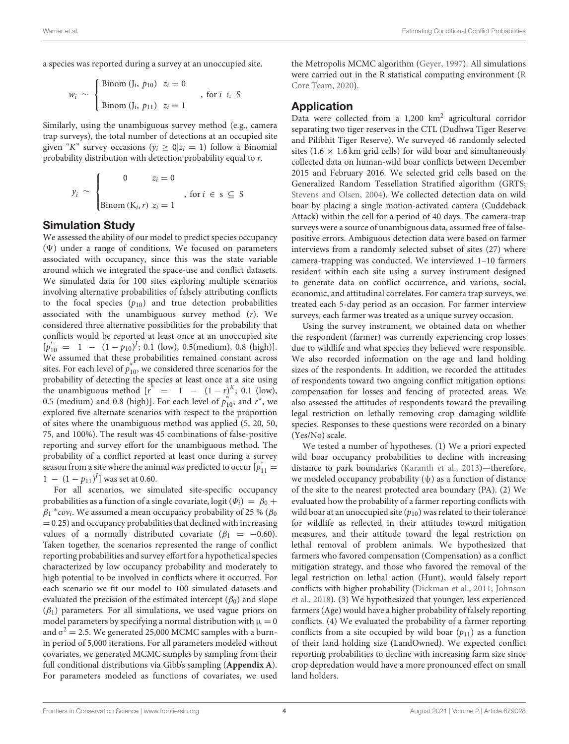a species was reported during a survey at an unoccupied site.

$$
w_i \sim \begin{cases} \text{Binom } (J_i, p_{10}) & z_i = 0 \\ \text{Binom } (J_i, p_{11}) & z_i = 1 \end{cases} \quad \text{, for } i \in S
$$

Similarly, using the unambiguous survey method (e.g., camera trap surveys), the total number of detections at an occupied site given "K" survey occasions ( $y_i \ge 0 | z_i = 1$ ) follow a Binomial probability distribution with detection probability equal to r.

$$
y_i \sim \begin{cases} 0 & z_i = 0 \\ \text{Binom}(K_i, r) & z_i = 1 \end{cases}
$$
, for  $i \in s \subseteq S$ 

#### Simulation Study

We assessed the ability of our model to predict species occupancy  $(\Psi)$  under a range of conditions. We focused on parameters associated with occupancy, since this was the state variable around which we integrated the space-use and conflict datasets. We simulated data for 100 sites exploring multiple scenarios involving alternative probabilities of falsely attributing conflicts to the focal species  $(p_{10})$  and true detection probabilities associated with the unambiguous survey method (r). We considered three alternative possibilities for the probability that conflicts would be reported at least once at an unoccupied site  $[p_{10}^* = 1 - (1 - p_{10})^l; 0.1$  (low), 0.5(medium), 0.8 (high)]. We assumed that these probabilities remained constant across sites. For each level of  $p_{10}^*$ , we considered three scenarios for the probability of detecting the species at least once at a site using the unambiguous method  $\begin{bmatrix} r^* & = & 1 & - & (1-r)^K \\ 0.1 & 0 & 0 \\ 0 & 0 & 0 \end{bmatrix}$ 0.5 (medium) and 0.8 (high)]. For each level of  $p_{10}^*$ ; and  $r^*$ , we explored five alternate scenarios with respect to the proportion of sites where the unambiguous method was applied (5, 20, 50, 75, and 100%). The result was 45 combinations of false-positive reporting and survey effort for the unambiguous method. The probability of a conflict reported at least once during a survey season from a site where the animal was predicted to occur  $\left[p_{11}^*\right]$  $1 - (1 - p_{11})^J$  was set at 0.60.

For all scenarios, we simulated site-specific occupancy probabilities as a function of a single covariate, logit ( $\Psi_i$ ) =  $\beta_0$  +  $\beta_1$  \* *cov<sub>i</sub>*. We assumed a mean occupancy probability of 25 % ( $\beta_0$  $= 0.25$ ) and occupancy probabilities that declined with increasing values of a normally distributed covariate ( $\beta_1 = -0.60$ ). Taken together, the scenarios represented the range of conflict reporting probabilities and survey effort for a hypothetical species characterized by low occupancy probability and moderately to high potential to be involved in conflicts where it occurred. For each scenario we fit our model to 100 simulated datasets and evaluated the precision of the estimated intercept  $(\beta_0)$  and slope  $(\beta_1)$  parameters. For all simulations, we used vague priors on model parameters by specifying a normal distribution with  $\mu = 0$ and  $\sigma^2 = 2.5$ . We generated 25,000 MCMC samples with a burnin period of 5,000 iterations. For all parameters modeled without covariates, we generated MCMC samples by sampling from their full conditional distributions via Gibb's sampling (**[Appendix A](#page-7-8)**). For parameters modeled as functions of covariates, we used

the Metropolis MCMC algorithm [\(Geyer, 1997\)](#page-8-31). All simulations were carried out in the R statistical computing environment (R Core Team, [2020\)](#page-8-32).

## **Application**

Data were collected from a 1,200 km<sup>2</sup> agricultural corridor separating two tiger reserves in the CTL (Dudhwa Tiger Reserve and Pilibhit Tiger Reserve). We surveyed 46 randomly selected sites (1.6  $\times$  1.6 km grid cells) for wild boar and simultaneously collected data on human-wild boar conflicts between December 2015 and February 2016. We selected grid cells based on the Generalized Random Tessellation Stratified algorithm (GRTS; [Stevens and Olsen, 2004\)](#page-8-33). We collected detection data on wild boar by placing a single motion-activated camera (Cuddeback Attack) within the cell for a period of 40 days. The camera-trap surveys were a source of unambiguous data, assumed free of falsepositive errors. Ambiguous detection data were based on farmer interviews from a randomly selected subset of sites (27) where camera-trapping was conducted. We interviewed 1–10 farmers resident within each site using a survey instrument designed to generate data on conflict occurrence, and various, social, economic, and attitudinal correlates. For camera trap surveys, we treated each 5-day period as an occasion. For farmer interview surveys, each farmer was treated as a unique survey occasion.

Using the survey instrument, we obtained data on whether the respondent (farmer) was currently experiencing crop losses due to wildlife and what species they believed were responsible. We also recorded information on the age and land holding sizes of the respondents. In addition, we recorded the attitudes of respondents toward two ongoing conflict mitigation options: compensation for losses and fencing of protected areas. We also assessed the attitudes of respondents toward the prevailing legal restriction on lethally removing crop damaging wildlife species. Responses to these questions were recorded on a binary (Yes/No) scale.

We tested a number of hypotheses. (1) We a priori expected wild boar occupancy probabilities to decline with increasing distance to park boundaries [\(Karanth et al., 2013\)](#page-8-17)—therefore, we modeled occupancy probability  $(\psi)$  as a function of distance of the site to the nearest protected area boundary (PA). (2) We evaluated how the probability of a farmer reporting conflicts with wild boar at an unoccupied site  $(p_{10})$  was related to their tolerance for wildlife as reflected in their attitudes toward mitigation measures, and their attitude toward the legal restriction on lethal removal of problem animals. We hypothesized that farmers who favored compensation (Compensation) as a conflict mitigation strategy, and those who favored the removal of the legal restriction on lethal action (Hunt), would falsely report conflicts with higher probability [\(Dickman et al., 2011;](#page-8-34) Johnson et al., [2018\)](#page-8-35). (3) We hypothesized that younger, less experienced farmers (Age) would have a higher probability of falsely reporting conflicts. (4) We evaluated the probability of a farmer reporting conflicts from a site occupied by wild boar  $(p_{11})$  as a function of their land holding size (LandOwned). We expected conflict reporting probabilities to decline with increasing farm size since crop depredation would have a more pronounced effect on small land holders.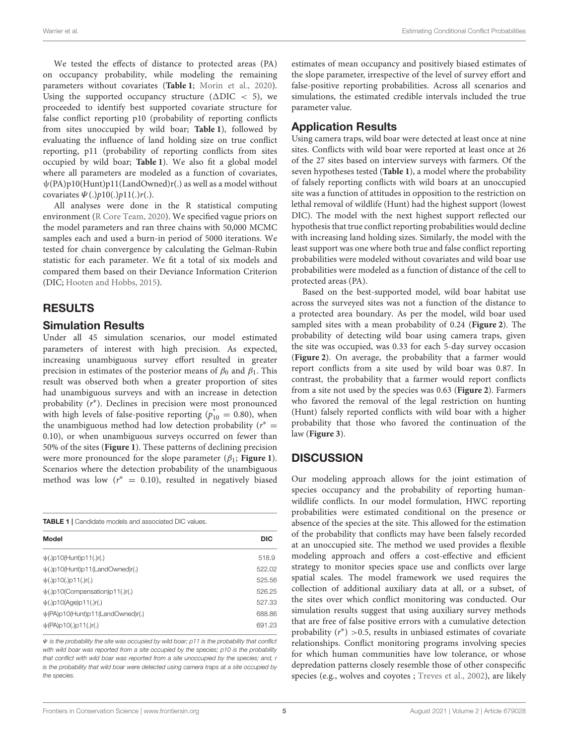We tested the effects of distance to protected areas (PA) on occupancy probability, while modeling the remaining parameters without covariates (**[Table 1](#page-4-0)**; [Morin et al., 2020\)](#page-8-36). Using the supported occupancy structure ( $\triangle DIC < 5$ ), we proceeded to identify best supported covariate structure for false conflict reporting p10 (probability of reporting conflicts from sites unoccupied by wild boar; **[Table 1](#page-4-0)**), followed by evaluating the influence of land holding size on true conflict reporting, p11 (probability of reporting conflicts from sites occupied by wild boar; **[Table 1](#page-4-0)**). We also fit a global model where all parameters are modeled as a function of covariates, ψ(PA)p10(Hunt)p11(LandOwned)r(.) as well as a model without covariates  $\Psi(.)p10(.)p11(.)r(.)$ .

All analyses were done in the R statistical computing environment [\(R Core Team, 2020\)](#page-8-32). We specified vague priors on the model parameters and ran three chains with 50,000 MCMC samples each and used a burn-in period of 5000 iterations. We tested for chain convergence by calculating the Gelman-Rubin statistic for each parameter. We fit a total of six models and compared them based on their Deviance Information Criterion (DIC; [Hooten and Hobbs, 2015\)](#page-8-37).

## RESULTS

#### Simulation Results

Under all 45 simulation scenarios, our model estimated parameters of interest with high precision. As expected, increasing unambiguous survey effort resulted in greater precision in estimates of the posterior means of  $\beta_0$  and  $\beta_1$ . This result was observed both when a greater proportion of sites had unambiguous surveys and with an increase in detection probability (r<sup>\*</sup>). Declines in precision were most pronounced with high levels of false-positive reporting ( $p_{10}^* = 0.80$ ), when the unambiguous method had low detection probability ( $r^* =$ 0.10), or when unambiguous surveys occurred on fewer than 50% of the sites (**[Figure 1](#page-5-0)**). These patterns of declining precision were more pronounced for the slope parameter  $(\beta_1; \text{Figure 1}).$  $(\beta_1; \text{Figure 1}).$  $(\beta_1; \text{Figure 1}).$ Scenarios where the detection probability of the unambiguous method was low  $(r^* = 0.10)$ , resulted in negatively biased

<span id="page-4-0"></span>**TABLE 1** | Candidate models and associated DIC values.

| Model                                  | <b>DIC</b> |
|----------------------------------------|------------|
| $\psi(.)p10(Hunt)p11(.)r(.)$           | 518.9      |
| $\psi(.)$ p10(Hunt)p11(LandOwned)r(.)  | 522.02     |
| $\psi(.)$ p10(.)p11(.)r(.)             | 525.56     |
| $\psi(.)$ p10(Compensation)p11(.)r(.)  | 526.25     |
| $\psi(.)$ p10(Age)p11(.)r(.)           | 527.33     |
| $\psi$ (PA)p10(Hunt)p11(LandOwned)r(.) | 688.86     |
| $\psi$ (PA)p10(.)p11(.)r(.)            | 691.23     |
|                                        |            |

 $\Psi$  is the probability the site was occupied by wild boar; p11 is the probability that conflict with wild boar was reported from a site occupied by the species; p10 is the probability that conflict with wild boar was reported from a site unoccupied by the species; and, r is the probability that wild boar were detected using camera traps at a site occupied by the species.

estimates of mean occupancy and positively biased estimates of the slope parameter, irrespective of the level of survey effort and false-positive reporting probabilities. Across all scenarios and simulations, the estimated credible intervals included the true parameter value.

## Application Results

Using camera traps, wild boar were detected at least once at nine sites. Conflicts with wild boar were reported at least once at 26 of the 27 sites based on interview surveys with farmers. Of the seven hypotheses tested (**[Table 1](#page-4-0)**), a model where the probability of falsely reporting conflicts with wild boars at an unoccupied site was a function of attitudes in opposition to the restriction on lethal removal of wildlife (Hunt) had the highest support (lowest DIC). The model with the next highest support reflected our hypothesis that true conflict reporting probabilities would decline with increasing land holding sizes. Similarly, the model with the least support was one where both true and false conflict reporting probabilities were modeled without covariates and wild boar use probabilities were modeled as a function of distance of the cell to protected areas (PA).

Based on the best-supported model, wild boar habitat use across the surveyed sites was not a function of the distance to a protected area boundary. As per the model, wild boar used sampled sites with a mean probability of 0.24 (**[Figure 2](#page-5-1)**). The probability of detecting wild boar using camera traps, given the site was occupied, was 0.33 for each 5-day survey occasion (**[Figure 2](#page-5-1)**). On average, the probability that a farmer would report conflicts from a site used by wild boar was 0.87. In contrast, the probability that a farmer would report conflicts from a site not used by the species was 0.63 (**[Figure 2](#page-5-1)**). Farmers who favored the removal of the legal restriction on hunting (Hunt) falsely reported conflicts with wild boar with a higher probability that those who favored the continuation of the law (**[Figure 3](#page-6-0)**).

## **DISCUSSION**

Our modeling approach allows for the joint estimation of species occupancy and the probability of reporting humanwildlife conflicts. In our model formulation, HWC reporting probabilities were estimated conditional on the presence or absence of the species at the site. This allowed for the estimation of the probability that conflicts may have been falsely recorded at an unoccupied site. The method we used provides a flexible modeling approach and offers a cost-effective and efficient strategy to monitor species space use and conflicts over large spatial scales. The model framework we used requires the collection of additional auxiliary data at all, or a subset, of the sites over which conflict monitoring was conducted. Our simulation results suggest that using auxiliary survey methods that are free of false positive errors with a cumulative detection probability  $(r^*) > 0.5$ , results in unbiased estimates of covariate relationships. Conflict monitoring programs involving species for which human communities have low tolerance, or whose depredation patterns closely resemble those of other conspecific species (e.g., wolves and coyotes ; [Treves et al., 2002\)](#page-8-22), are likely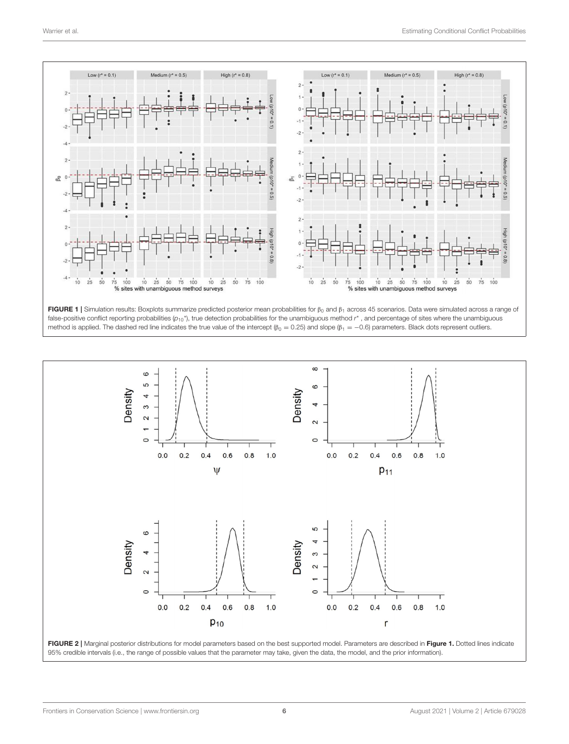

<span id="page-5-0"></span>

<span id="page-5-1"></span>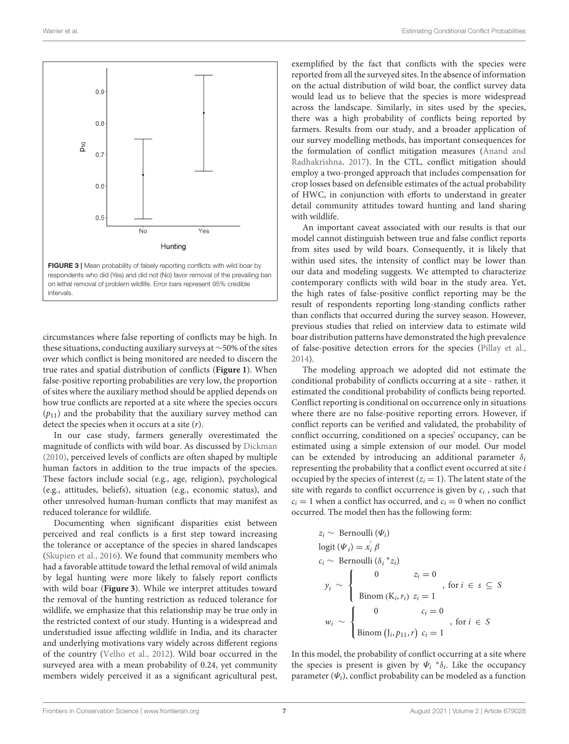

<span id="page-6-0"></span>circumstances where false reporting of conflicts may be high. In these situations, conducting auxiliary surveys at ∼50% of the sites over which conflict is being monitored are needed to discern the true rates and spatial distribution of conflicts (**[Figure 1](#page-5-0)**). When false-positive reporting probabilities are very low, the proportion of sites where the auxiliary method should be applied depends on how true conflicts are reported at a site where the species occurs  $(p_{11})$  and the probability that the auxiliary survey method can detect the species when it occurs at a site  $(r)$ .

In our case study, farmers generally overestimated the magnitude of conflicts with wild boar. As discussed by [Dickman](#page-8-4) [\(2010\)](#page-8-4), perceived levels of conflicts are often shaped by multiple human factors in addition to the true impacts of the species. These factors include social (e.g., age, religion), psychological (e.g., attitudes, beliefs), situation (e.g., economic status), and other unresolved human-human conflicts that may manifest as reduced tolerance for wildlife.

Documenting when significant disparities exist between perceived and real conflicts is a first step toward increasing the tolerance or acceptance of the species in shared landscapes [\(Skupien et al., 2016\)](#page-8-38). We found that community members who had a favorable attitude toward the lethal removal of wild animals by legal hunting were more likely to falsely report conflicts with wild boar (**[Figure 3](#page-6-0)**). While we interpret attitudes toward the removal of the hunting restriction as reduced tolerance for wildlife, we emphasize that this relationship may be true only in the restricted context of our study. Hunting is a widespread and understudied issue affecting wildlife in India, and its character and underlying motivations vary widely across different regions of the country [\(Velho et al., 2012\)](#page-9-2). Wild boar occurred in the surveyed area with a mean probability of 0.24, yet community members widely perceived it as a significant agricultural pest,

exemplified by the fact that conflicts with the species were reported from all the surveyed sites. In the absence of information on the actual distribution of wild boar, the conflict survey data would lead us to believe that the species is more widespread across the landscape. Similarly, in sites used by the species, there was a high probability of conflicts being reported by farmers. Results from our study, and a broader application of our survey modelling methods, has important consequences for the formulation of conflict mitigation measures (Anand and Radhakrishna, [2017\)](#page-7-9). In the CTL, conflict mitigation should employ a two-pronged approach that includes compensation for crop losses based on defensible estimates of the actual probability of HWC, in conjunction with efforts to understand in greater detail community attitudes toward hunting and land sharing with wildlife.

An important caveat associated with our results is that our model cannot distinguish between true and false conflict reports from sites used by wild boars. Consequently, it is likely that within used sites, the intensity of conflict may be lower than our data and modeling suggests. We attempted to characterize contemporary conflicts with wild boar in the study area. Yet, the high rates of false-positive conflict reporting may be the result of respondents reporting long-standing conflicts rather than conflicts that occurred during the survey season. However, previous studies that relied on interview data to estimate wild boar distribution patterns have demonstrated the high prevalence of false-positive detection errors for the species [\(Pillay et al.,](#page-8-39) [2014\)](#page-8-39).

The modeling approach we adopted did not estimate the conditional probability of conflicts occurring at a site - rather, it estimated the conditional probability of conflicts being reported. Conflict reporting is conditional on occurrence only in situations where there are no false-positive reporting errors. However, if conflict reports can be verified and validated, the probability of conflict occurring, conditioned on a species' occupancy, can be estimated using a simple extension of our model. Our model can be extended by introducing an additional parameter  $\delta_i$ representing the probability that a conflict event occurred at site  $i$ occupied by the species of interest  $(z<sub>i</sub> = 1)$ . The latent state of the site with regards to conflict occurrence is given by  $c_i$ , such that  $c_i = 1$  when a conflict has occurred, and  $c_i = 0$  when no conflict occurred. The model then has the following form:

$$
z_i \sim \text{Bernoulli } (\Psi_i)
$$
  
\nlogit  $(\Psi_i) = x_i' \beta$   
\n $c_i \sim \text{Bernoulli } (\delta_i * z_i)$   
\n $y_i \sim \begin{cases}\n0 & z_i = 0 \\
\text{Binom } (K_i, r_i) \ z_i = 1 \\
w_i \sim \begin{cases}\n0 & c_i = 0 \\
\text{Binom } (J_i, p_{11}, r) \ c_i = 1\n\end{cases}, \text{ for } i \in S\n\end{cases}$ 

In this model, the probability of conflict occurring at a site where the species is present is given by  $\Psi_i * \delta_i$ . Like the occupancy parameter  $(\Psi_i)$ , conflict probability can be modeled as a function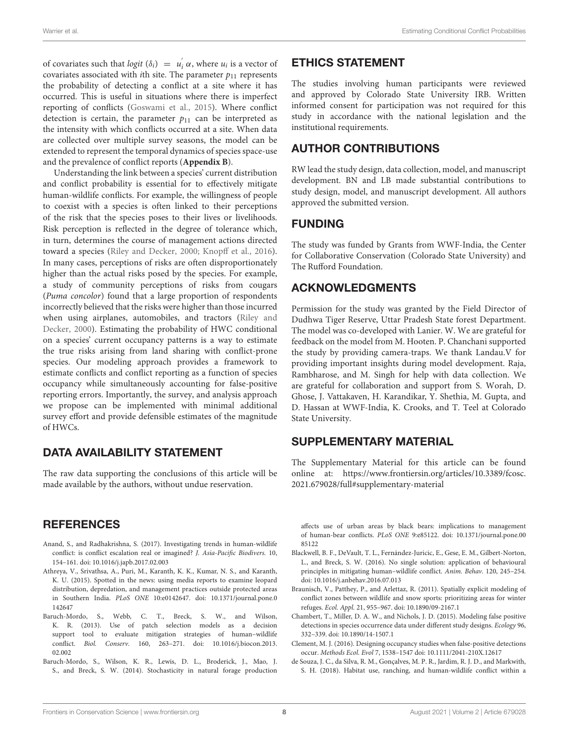of covariates such that  $logit(\delta_i) = u'_i$  $i_i$   $\alpha$ , where  $u_i$  is a vector of covariates associated with *i*th site. The parameter  $p_{11}$  represents the probability of detecting a conflict at a site where it has occurred. This is useful in situations where there is imperfect reporting of conflicts [\(Goswami et al., 2015\)](#page-8-18). Where conflict detection is certain, the parameter  $p_{11}$  can be interpreted as the intensity with which conflicts occurred at a site. When data are collected over multiple survey seasons, the model can be extended to represent the temporal dynamics of species space-use and the prevalence of conflict reports (**[Appendix B](#page-7-8)**).

Understanding the link between a species' current distribution and conflict probability is essential for to effectively mitigate human-wildlife conflicts. For example, the willingness of people to coexist with a species is often linked to their perceptions of the risk that the species poses to their lives or livelihoods. Risk perception is reflected in the degree of tolerance which, in turn, determines the course of management actions directed toward a species [\(Riley and Decker, 2000;](#page-8-40) [Knopff et al., 2016\)](#page-8-41). In many cases, perceptions of risks are often disproportionately higher than the actual risks posed by the species. For example, a study of community perceptions of risks from cougars (Puma concolor) found that a large proportion of respondents incorrectly believed that the risks were higher than those incurred when using airplanes, automobiles, and tractors (Riley and Decker, [2000\)](#page-8-40). Estimating the probability of HWC conditional on a species' current occupancy patterns is a way to estimate the true risks arising from land sharing with conflict-prone species. Our modeling approach provides a framework to estimate conflicts and conflict reporting as a function of species occupancy while simultaneously accounting for false-positive reporting errors. Importantly, the survey, and analysis approach we propose can be implemented with minimal additional survey effort and provide defensible estimates of the magnitude of HWCs.

## DATA AVAILABILITY STATEMENT

The raw data supporting the conclusions of this article will be made available by the authors, without undue reservation.

## **REFERENCES**

- <span id="page-7-9"></span>Anand, S., and Radhakrishna, S. (2017). Investigating trends in human-wildlife conflict: is conflict escalation real or imagined? J. Asia-Pacific Biodivers. 10, 154–161. doi: [10.1016/j.japb.2017.02.003](https://doi.org/10.1016/j.japb.2017.02.003)
- <span id="page-7-3"></span>Athreya, V., Srivathsa, A., Puri, M., Karanth, K. K., Kumar, N. S., and Karanth, K. U. (2015). Spotted in the news: using media reports to examine leopard distribution, depredation, and management practices outside protected areas in Southern India. PLoS ONE [10:e0142647. doi: 10.1371/journal.pone.0](https://doi.org/10.1371/journal.pone.0142647) 142647
- <span id="page-7-0"></span>Baruch-Mordo, S., Webb, C. T., Breck, S. W., and Wilson, K. R. (2013). Use of patch selection models as a decision support tool to evaluate mitigation strategies of human–wildlife conflict. Biol. Conserv. [160, 263–271. doi: 10.1016/j.biocon.2013.](https://doi.org/10.1016/j.biocon.2013.02.002) 02.002
- <span id="page-7-2"></span>Baruch-Mordo, S., Wilson, K. R., Lewis, D. L., Broderick, J., Mao, J. S., and Breck, S. W. (2014). Stochasticity in natural forage production

## ETHICS STATEMENT

The studies involving human participants were reviewed and approved by Colorado State University IRB. Written informed consent for participation was not required for this study in accordance with the national legislation and the institutional requirements.

## AUTHOR CONTRIBUTIONS

RW lead the study design, data collection, model, and manuscript development. BN and LB made substantial contributions to study design, model, and manuscript development. All authors approved the submitted version.

## FUNDING

The study was funded by Grants from WWF-India, the Center for Collaborative Conservation (Colorado State University) and The Rufford Foundation.

## ACKNOWLEDGMENTS

Permission for the study was granted by the Field Director of Dudhwa Tiger Reserve, Uttar Pradesh State forest Department. The model was co-developed with Lanier. W. We are grateful for feedback on the model from M. Hooten. P. Chanchani supported the study by providing camera-traps. We thank Landau.V for providing important insights during model development. Raja, Rambharose, and M. Singh for help with data collection. We are grateful for collaboration and support from S. Worah, D. Ghose, J. Vattakaven, H. Karandikar, Y. Shethia, M. Gupta, and D. Hassan at WWF-India, K. Crooks, and T. Teel at Colorado State University.

## SUPPLEMENTARY MATERIAL

<span id="page-7-8"></span>The Supplementary Material for this article can be found [online at: https://www.frontiersin.org/articles/10.3389/fcosc.](https://www.frontiersin.org/articles/10.3389/fcosc.2021.679028/full#supplementary-material) 2021.679028/full#supplementary-material

affects use of urban areas by black bears: implications to management of human-bear conflicts. PLoS ONE [9:e85122. doi: 10.1371/journal.pone.00](https://doi.org/10.1371/journal.pone.0085122) 85122

- <span id="page-7-1"></span>Blackwell, B. F., DeVault, T. L., Fernández-Juricic, E., Gese, E. M., Gilbert-Norton, L., and Breck, S. W. (2016). No single solution: application of behavioural principles in mitigating human–wildlife conflict. Anim. Behav. 120, 245–254. doi: [10.1016/j.anbehav.2016.07.013](https://doi.org/10.1016/j.anbehav.2016.07.013)
- <span id="page-7-4"></span>Braunisch, V., Patthey, P., and Arlettaz, R. (2011). Spatially explicit modeling of conflict zones between wildlife and snow sports: prioritizing areas for winter refuges. Ecol. Appl. 21, 955–967. doi: [10.1890/09-2167.1](https://doi.org/10.1890/09-2167.1)
- <span id="page-7-6"></span>Chambert, T., Miller, D. A. W., and Nichols, J. D. (2015). Modeling false positive detections in species occurrence data under different study designs. Ecology 96, 332–339. doi: [10.1890/14-1507.1](https://doi.org/10.1890/14-1507.1)
- <span id="page-7-7"></span>Clement, M. J. (2016). Designing occupancy studies when false-positive detections occur. Methods Ecol. Evol 7, 1538–1547 doi: [10.1111/2041-210X.12617](https://doi.org/10.1111/2041-210X.12617)
- <span id="page-7-5"></span>de Souza, J. C., da Silva, R. M., Gonçalves, M. P. R., Jardim, R. J. D., and Markwith, S. H. (2018). Habitat use, ranching, and human-wildlife conflict within a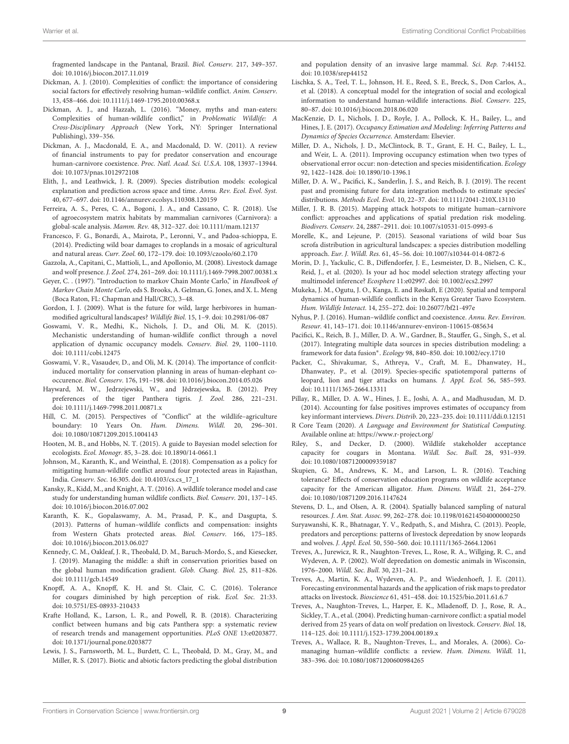fragmented landscape in the Pantanal, Brazil. Biol. Conserv. 217, 349–357. doi: [10.1016/j.biocon.2017.11.019](https://doi.org/10.1016/j.biocon.2017.11.019)

- <span id="page-8-4"></span>Dickman, A. J. (2010). Complexities of conflict: the importance of considering social factors for effectively resolving human–wildlife conflict. Anim. Conserv. 13, 458–466. doi: [10.1111/j.1469-1795.2010.00368.x](https://doi.org/10.1111/j.1469-1795.2010.00368.x)
- <span id="page-8-23"></span>Dickman, A. J., and Hazzah, L. (2016). "Money, myths and man-eaters: Complexities of human-wildlife conflict," in Problematic Wildlife: A Cross-Disciplinary Approach (New York, NY: Springer International Publishing), 339–356.
- <span id="page-8-34"></span>Dickman, A. J., Macdonald, E. A., and Macdonald, D. W. (2011). A review of financial instruments to pay for predator conservation and encourage human-carnivore coexistence. Proc. Natl. Acad. Sci. U.S.A. 108, 13937–13944. doi: [10.1073/pnas.1012972108](https://doi.org/10.1073/pnas.1012972108)
- <span id="page-8-11"></span>Elith, J., and Leathwick, J. R. (2009). Species distribution models: ecological explanation and prediction across space and time. Annu. Rev. Ecol. Evol. Syst. 40, 677–697. doi: [10.1146/annurev.ecolsys.110308.120159](https://doi.org/10.1146/annurev.ecolsys.110308.120159)
- <span id="page-8-2"></span>Ferreira, A. S., Peres, C. A., Bogoni, J. A., and Cassano, C. R. (2018). Use of agroecosystem matrix habitats by mammalian carnivores (Carnivora): a global-scale analysis. Mamm. Rev. 48, 312–327. doi: [10.1111/mam.12137](https://doi.org/10.1111/mam.12137)
- <span id="page-8-26"></span>Francesco, F. G., Bonardi, A., Mairota, P., Leronni, V., and Padoa-schioppa, E. (2014). Predicting wild boar damages to croplands in a mosaic of agricultural and natural areas. Curr. Zool. 60, 172–179. doi: [10.1093/czoolo/60.2.170](https://doi.org/10.1093/czoolo/60.2.170)
- <span id="page-8-15"></span>Gazzola, A., Capitani, C., Mattioli, L., and Apollonio, M. (2008). Livestock damage and wolf presence. J. Zool. 274, 261–269. doi: [10.1111/j.1469-7998.2007.00381.x](https://doi.org/10.1111/j.1469-7998.2007.00381.x)
- <span id="page-8-31"></span>Geyer, C. . (1997). "Introduction to markov Chain Monte Carlo," in Handbook of Markov Chain Monte Carlo, eds S. Brooks, A. Gelman, G. Jones, and X. L. Meng (Boca Raton, FL: Chapman and Hall/CRC), 3–48.
- <span id="page-8-1"></span>Gordon, I. J. (2009). What is the future for wild, large herbivores in humanmodified agricultural landscapes? Wildlife Biol. 15, 1–9. doi: [10.2981/06-087](https://doi.org/10.2981/06-087)
- <span id="page-8-18"></span>Goswami, V. R., Medhi, K., Nichols, J. D., and Oli, M. K. (2015). Mechanistic understanding of human-wildlife conflict through a novel application of dynamic occupancy models. Conserv. Biol. 29, 1100–1110. doi: [10.1111/cobi.12475](https://doi.org/10.1111/cobi.12475)
- <span id="page-8-6"></span>Goswami, V. R., Vasaudev, D., and Oli, M. K. (2014). The importance of conflcitinduced mortality for conservation planning in areas of human-elephant cooccurence. Biol. Conserv. 176, 191–198. doi: [10.1016/j.biocon.2014.05.026](https://doi.org/10.1016/j.biocon.2014.05.026)
- <span id="page-8-24"></span>Hayward, M. W., Jedrzejewski, W., and Jêdrzejewska, B. (2012). Prey preferences of the tiger Panthera tigris. J. Zool. 286, 221–231. doi: [10.1111/j.1469-7998.2011.00871.x](https://doi.org/10.1111/j.1469-7998.2011.00871.x)
- <span id="page-8-9"></span>Hill, C. M. (2015). Perspectives of "Conflict" at the wildlife–agriculture boundary: 10 Years On. Hum. Dimens. Wildl. 20, 296–301. doi: [10.1080/10871209.2015.1004143](https://doi.org/10.1080/10871209.2015.1004143)
- <span id="page-8-37"></span>Hooten, M. B., and Hobbs, N. T. (2015). A guide to Bayesian model selection for ecologists. Ecol. Monogr. 85, 3–28. doi: [10.1890/14-0661.1](https://doi.org/10.1890/14-0661.1)
- <span id="page-8-35"></span>Johnson, M., Karanth, K., and Weinthal, E. (2018). Compensation as a policy for mitigating human-wildlife conflict around four protected areas in Rajasthan, India. Conserv. Soc. 16:305. doi: [10.4103/cs.cs\\_17\\_1](https://doi.org/10.4103/cs.cs_17_1)
- <span id="page-8-7"></span>Kansky, R., Kidd, M., and Knight, A. T. (2016). A wildlife tolerance model and case study for understanding human wildlife conflicts. Biol. Conserv. 201, 137–145. doi: [10.1016/j.biocon.2016.07.002](https://doi.org/10.1016/j.biocon.2016.07.002)
- <span id="page-8-17"></span>Karanth, K. K., Gopalaswamy, A. M., Prasad, P. K., and Dasgupta, S. (2013). Patterns of human–wildlife conflicts and compensation: insights from Western Ghats protected areas. Biol. Conserv. 166, 175–185. doi: [10.1016/j.biocon.2013.06.027](https://doi.org/10.1016/j.biocon.2013.06.027)
- <span id="page-8-0"></span>Kennedy, C. M., Oakleaf, J. R., Theobald, D. M., Baruch-Mordo, S., and Kiesecker, J. (2019). Managing the middle: a shift in conservation priorities based on the global human modification gradient. Glob. Chang. Biol. 25, 811–826. doi: [10.1111/gcb.14549](https://doi.org/10.1111/gcb.14549)
- <span id="page-8-41"></span>Knopff, A. A., Knopff, K. H. and St. Clair, C. C. (2016). Tolerance for cougars diminished by high perception of risk. Ecol. Soc. 21:33. doi: [10.5751/ES-08933-210433](https://doi.org/10.5751/ES-08933-210433)
- <span id="page-8-20"></span>Krafte Holland, K., Larson, L. R., and Powell, R. B. (2018). Characterizing conflict between humans and big cats Panthera spp: a systematic review of research trends and management opportunities. PLoS ONE 13:e0203877. doi: [10.1371/journal.pone.0203877](https://doi.org/10.1371/journal.pone.0203877)
- <span id="page-8-25"></span>Lewis, J. S., Farnsworth, M. L., Burdett, C. L., Theobald, D. M., Gray, M., and Miller, R. S. (2017). Biotic and abiotic factors predicting the global distribution

and population density of an invasive large mammal. Sci. Rep. 7:44152. doi: [10.1038/srep44152](https://doi.org/10.1038/srep44152)

- <span id="page-8-8"></span>Lischka, S. A., Teel, T. L., Johnson, H. E., Reed, S. E., Breck, S., Don Carlos, A., et al. (2018). A conceptual model for the integration of social and ecological information to understand human-wildlife interactions. Biol. Conserv. 225, 80–87. doi: [10.1016/j.biocon.2018.06.020](https://doi.org/10.1016/j.biocon.2018.06.020)
- <span id="page-8-13"></span>MacKenzie, D. I., Nichols, J. D., Royle, J. A., Pollock, K. H., Bailey, L., and Hines, J. E. (2017). Occupancy Estimation and Modeling: Inferring Patterns and Dynamics of Species Occurrence. Amsterdam: Elsevier.
- <span id="page-8-29"></span>Miller, D. A., Nichols, J. D., McClintock, B. T., Grant, E. H. C., Bailey, L. L., and Weir, L. A. (2011). Improving occupancy estimation when two types of observational error occur: non-detection and species misidentification. Ecology 92, 1422–1428. doi: [10.1890/10-1396.1](https://doi.org/10.1890/10-1396.1)
- <span id="page-8-28"></span>Miller, D. A. W., Pacifici, K., Sanderlin, J. S., and Reich, B. J. (2019). The recent past and promising future for data integration methods to estimate species' distributions. Methods Ecol. Evol. 10, 22–37. doi: [10.1111/2041-210X.13110](https://doi.org/10.1111/2041-210X.13110)
- <span id="page-8-19"></span>Miller, J. R. B. (2015). Mapping attack hotspots to mitigate human–carnivore conflict: approaches and applications of spatial predation risk modeling. Biodivers. Conserv. 24, 2887–2911. doi: [10.1007/s10531-015-0993-6](https://doi.org/10.1007/s10531-015-0993-6)
- <span id="page-8-12"></span>Morelle, K., and Lejeune, P. (2015). Seasonal variations of wild boar Sus scrofa distribution in agricultural landscapes: a species distribution modelling approach. Eur. J. Wildl. Res. 61, 45–56. doi: [10.1007/s10344-014-0872-6](https://doi.org/10.1007/s10344-014-0872-6)
- <span id="page-8-36"></span>Morin, D. J., Yackulic, C. B., Diffendorfer, J. E., Lesmeister, D. B., Nielsen, C. K., Reid, J., et al. (2020). Is your ad hoc model selection strategy affecting your multimodel inference? Ecosphere 11:e02997. doi: [10.1002/ecs2.2997](https://doi.org/10.1002/ecs2.2997)
- <span id="page-8-30"></span>Mukeka, J. M., Ogutu, J. O., Kanga, E. and Røskaft, E (2020). Spatial and temporal dynamics of human-wildlife conflicts in the Kenya Greater Tsavo Ecosystem. Hum. Wildlife Interact. 14, 255–272. doi: [10.26077/bf21-497e](https://doi.org/10.26077/bf21-497e)
- <span id="page-8-3"></span>Nyhus, P. J. (2016). Human–wildlife conflict and coexistence. Annu. Rev. Environ. Resour. 41, 143–171. doi: [10.1146/annurev-environ-110615-085634](https://doi.org/10.1146/annurev-environ-110615-085634)
- <span id="page-8-27"></span>Pacifici, K., Reich, B. J., Miller, D. A. W., Gardner, B., Stauffer, G., Singh, S., et al. (2017). Integrating multiple data sources in species distribution modeling: a framework for data fusion<sup>∗</sup> . Ecology 98, 840–850. doi: [10.1002/ecy.1710](https://doi.org/10.1002/ecy.1710)
- <span id="page-8-16"></span>Packer, C., Shivakumar, S., Athreya, V., Craft, M. E., Dhanwatey, H., Dhanwatey, P., et al. (2019). Species-specific spatiotemporal patterns of leopard, lion and tiger attacks on humans. J. Appl. Ecol. 56, 585–593. doi: [10.1111/1365-2664.13311](https://doi.org/10.1111/1365-2664.13311)
- <span id="page-8-39"></span>Pillay, R., Miller, D. A. W., Hines, J. E., Joshi, A. A., and Madhusudan, M. D. (2014). Accounting for false positives improves estimates of occupancy from key informant interviews. Divers. Distrib. 20, 223–235. doi: [10.1111/ddi.0.12151](https://doi.org/10.1111/ddi.0.12151)
- <span id="page-8-32"></span>R Core Team (2020). A Language and Environment for Statistical Computing. Available online at:<https://www.r-project.org/>
- <span id="page-8-40"></span>Riley, S., and Decker, D. (2000). Wildlife stakeholder acceptance capacity for cougars in Montana. Wildl. Soc. Bull. 28, 931–939. doi: [10.1080/10871200009359187](https://doi.org/10.1080/10871200009359187)
- <span id="page-8-38"></span>Skupien, G. M., Andrews, K. M., and Larson, L. R. (2016). Teaching tolerance? Effects of conservation education programs on wildlife acceptance capacity for the American alligator. Hum. Dimens. Wildl. 21, 264–279. doi: [10.1080/10871209.2016.1147624](https://doi.org/10.1080/10871209.2016.1147624)
- <span id="page-8-33"></span>Stevens, D. L., and Olsen, A. R. (2004). Spatially balanced sampling of natural resources. J. Am. Stat. Assoc. 99, 262–278. doi: [10.1198/016214504000000250](https://doi.org/10.1198/016214504000000250)
- <span id="page-8-10"></span>Suryawanshi, K. R., Bhatnagar, Y. V., Redpath, S., and Mishra, C. (2013). People, predators and perceptions: patterns of livestock depredation by snow leopards and wolves. J. Appl. Ecol. 50, 550–560. doi: [10.1111/1365-2664.12061](https://doi.org/10.1111/1365-2664.12061)
- <span id="page-8-22"></span>Treves, A., Jurewicz, R. R., Naughton-Treves, L., Rose, R. A., Willging, R. C., and Wydeven, A. P. (2002). Wolf depredation on domestic animals in Wisconsin, 1976–2000. Wildl. Soc. Bull. 30, 231–241.
- <span id="page-8-21"></span>Treves, A., Martin, K. A., Wydeven, A. P., and Wiedenhoeft, J. E. (2011). Forecasting environmental hazards and the application of risk maps to predator attacks on livestock. Bioscience 61, 451–458. doi: [10.1525/bio.2011.61.6.7](https://doi.org/10.1525/bio.2011.61.6.7)
- <span id="page-8-14"></span>Treves, A., Naughton-Treves, L., Harper, E. K., Mladenoff, D. J., Rose, R. A., Sickley, T. A., et al. (2004). Predicting human-carnivore conflict: a spatial model derived from 25 years of data on wolf predation on livestock. Conserv. Biol. 18, 114–125. doi: [10.1111/j.1523-1739.2004.00189.x](https://doi.org/10.1111/j.1523-1739.2004.00189.x)
- <span id="page-8-5"></span>Treves, A., Wallace, R. B., Naughton-Treves, L., and Morales, A. (2006). Comanaging human–wildlife conflicts: a review. Hum. Dimens. Wildl. 11, 383–396. doi: [10.1080/10871200600984265](https://doi.org/10.1080/10871200600984265)